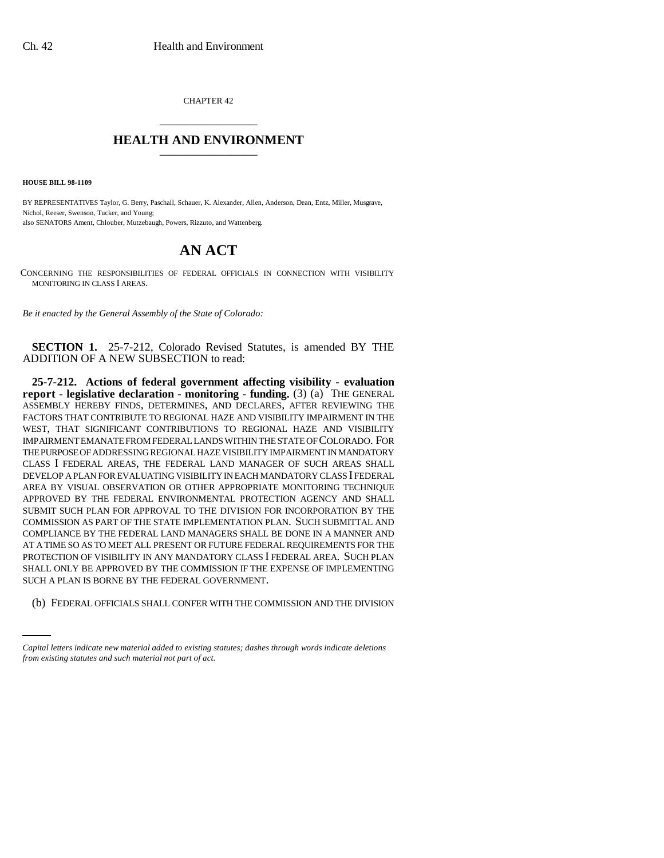CHAPTER 42 \_\_\_\_\_\_\_\_\_\_\_\_\_\_\_

## **HEALTH AND ENVIRONMENT** \_\_\_\_\_\_\_\_\_\_\_\_\_\_\_

**HOUSE BILL 98-1109**

BY REPRESENTATIVES Taylor, G. Berry, Paschall, Schauer, K. Alexander, Allen, Anderson, Dean, Entz, Miller, Musgrave, Nichol, Reeser, Swenson, Tucker, and Young; also SENATORS Ament, Chlouber, Mutzebaugh, Powers, Rizzuto, and Wattenberg.

## **AN ACT**

CONCERNING THE RESPONSIBILITIES OF FEDERAL OFFICIALS IN CONNECTION WITH VISIBILITY MONITORING IN CLASS I AREAS.

*Be it enacted by the General Assembly of the State of Colorado:*

**SECTION 1.** 25-7-212, Colorado Revised Statutes, is amended BY THE ADDITION OF A NEW SUBSECTION to read:

SUCH A PLAN IS BORNE BY THE FEDERAL GOVERNMENT. **25-7-212. Actions of federal government affecting visibility - evaluation report - legislative declaration - monitoring - funding.** (3) (a) THE GENERAL ASSEMBLY HEREBY FINDS, DETERMINES, AND DECLARES, AFTER REVIEWING THE FACTORS THAT CONTRIBUTE TO REGIONAL HAZE AND VISIBILITY IMPAIRMENT IN THE WEST, THAT SIGNIFICANT CONTRIBUTIONS TO REGIONAL HAZE AND VISIBILITY IMPAIRMENT EMANATE FROM FEDERAL LANDS WITHIN THE STATE OF COLORADO. FOR THE PURPOSE OF ADDRESSING REGIONAL HAZE VISIBILITY IMPAIRMENT IN MANDATORY CLASS I FEDERAL AREAS, THE FEDERAL LAND MANAGER OF SUCH AREAS SHALL DEVELOP A PLAN FOR EVALUATING VISIBILITY IN EACH MANDATORY CLASS I FEDERAL AREA BY VISUAL OBSERVATION OR OTHER APPROPRIATE MONITORING TECHNIQUE APPROVED BY THE FEDERAL ENVIRONMENTAL PROTECTION AGENCY AND SHALL SUBMIT SUCH PLAN FOR APPROVAL TO THE DIVISION FOR INCORPORATION BY THE COMMISSION AS PART OF THE STATE IMPLEMENTATION PLAN. SUCH SUBMITTAL AND COMPLIANCE BY THE FEDERAL LAND MANAGERS SHALL BE DONE IN A MANNER AND AT A TIME SO AS TO MEET ALL PRESENT OR FUTURE FEDERAL REQUIREMENTS FOR THE PROTECTION OF VISIBILITY IN ANY MANDATORY CLASS I FEDERAL AREA. SUCH PLAN SHALL ONLY BE APPROVED BY THE COMMISSION IF THE EXPENSE OF IMPLEMENTING

(b) FEDERAL OFFICIALS SHALL CONFER WITH THE COMMISSION AND THE DIVISION

*Capital letters indicate new material added to existing statutes; dashes through words indicate deletions from existing statutes and such material not part of act.*